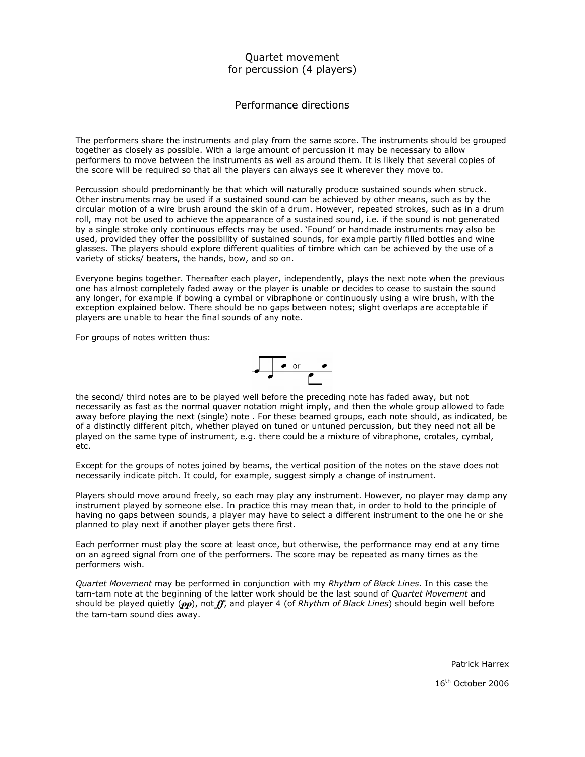## Quartet movement for percussion (4 players)

Performance directions

The performers share the instruments and play from the same score. The instruments should be grouped together as closely as possible. With a large amount of percussion it may be necessary to allow performers to move between the instruments as well as around them. It is likely that several copies of the score will be required so that all the players can always see it wherever they move to.

Percussion should predominantly be that which will naturally produce sustained sounds when struck. Other instruments may be used if a sustained sound can be achieved by other means, such as by the circular motion of a wire brush around the skin of a drum. However, repeated strokes, such as in a drum roll, may not be used to achieve the appearance of a sustained sound, i.e. if the sound is not generated by a single stroke only continuous effects may be used. 'Found' or handmade instruments may also be used, provided they offer the possibility of sustained sounds, for example partly filled bottles and wine glasses. The players should explore different qualities of timbre which can be achieved by the use of a variety of sticks/ beaters, the hands, bow, and so on.

Everyone begins together. Thereafter each player, independently, plays the next note when the previous one has almost completely faded away or the player is unable or decides to cease to sustain the sound any longer, for example if bowing a cymbal or vibraphone or continuously using a wire brush, with the exception explained below. There should be no gaps between notes; slight overlaps are acceptable if players are unable to hear the final sounds of any note.

For groups of notes written thus:



the second/ third notes are to be played well before the preceding note has faded away, but not necessarily as fast as the normal quaver notation might imply, and then the whole group allowed to fade away before playing the next (single) note . For these beamed groups, each note should, as indicated, be of a distinctly different pitch, whether played on tuned or untuned percussion, but they need not all be played on the same type of instrument, e.g. there could be a mixture of vibraphone, crotales, cymbal, etc.

Except for the groups of notes joined by beams, the vertical position of the notes on the stave does not necessarily indicate pitch. It could, for example, suggest simply a change of instrument.

Players should move around freely, so each may play any instrument. However, no player may damp any instrument played by someone else. In practice this may mean that, in order to hold to the principle of having no gaps between sounds, a player may have to select a different instrument to the one he or she planned to play next if another player gets there first.

Each performer must play the score at least once, but otherwise, the performance may end at any time on an agreed signal from one of the performers. The score may be repeated as many times as the performers wish.

Quartet Movement may be performed in conjunction with my Rhythm of Black Lines. In this case the tam-tam note at the beginning of the latter work should be the last sound of Quartet Movement and should be played quietly  $(pp)$ , not  $ff$ , and player 4 (of Rhythm of Black Lines) should begin well before the tam-tam sound dies away.

Patrick Harrex

16th October 2006